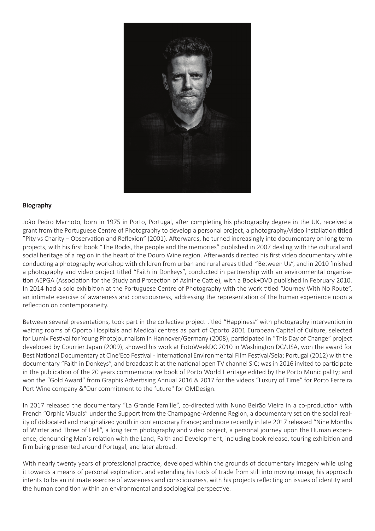

### **Biography**

João Pedro Marnoto, born in 1975 in Porto, Portugal, after completing his photography degree in the UK, received a grant from the Portuguese Centre of Photography to develop a personal project, a photography/video installation titled "Pity vs Charity – Observation and Reflexion" (2001). Afterwards, he turned increasingly into documentary on long term projects, with his first book "The Rocks, the people and the memories" published in 2007 dealing with the cultural and social heritage of a region in the heart of the Douro Wine region. Afterwards directed his first video documentary while conducting a photography workshop with children from urban and rural areas titled "Between Us", and in 2010 finished a photography and video project titled "Faith in Donkeys", conducted in partnership with an environmental organization AEPGA (Association for the Study and Protection of Asinine Cattle), with a Book+DVD published in February 2010. In 2014 had a solo exhibition at the Portuguese Centre of Photography with the work titled "Journey With No Route", an intimate exercise of awareness and consciousness, addressing the representation of the human experience upon a reflection on contemporaneity.

Between several presentations, took part in the collective project titled "Happiness" with photography intervention in waiting rooms of Oporto Hospitals and Medical centres as part of Oporto 2001 European Capital of Culture, selected for Lumix Festival for Young Photojournalism in Hannover/Germany (2008), participated in "This Day of Change" project developed by Courrier Japan (2009), showed his work at FotoWeekDC 2010 in Washington DC/USA, won the award for Best National Documentary at Cine'Eco Festival - International Environmental Film Festival/Seia; Portugal (2012) with the documentary "Faith in Donkeys", and broadcast it at the national open TV channel SIC; was in 2016 invited to participate in the publication of the 20 years commemorative book of Porto World Heritage edited by the Porto Municipality; and won the "Gold Award" from Graphis Advertising Annual 2016 & 2017 for the videos "Luxury of Time" for Porto Ferreira Port Wine company &"Our commitment to the future" for OMDesign.

In 2017 released the documentary "La Grande Famille", co-directed with Nuno Beirão Vieira in a co-production with French "Orphic Visuals" under the Support from the Champagne-Ardenne Region, a documentary set on the social reality of dislocated and marginalized youth in contemporary France; and more recently in late 2017 released "Nine Months of Winter and Three of Hell", a long term photography and video project, a personal journey upon the Human experience, denouncing Man´s relation with the Land, Faith and Development, including book release, touring exhibition and film being presented around Portugal, and later abroad.

With nearly twenty years of professional practice, developed within the grounds of documentary imagery while using it towards a means of personal exploration. and extending his tools of trade from still into moving image, his approach intents to be an intimate exercise of awareness and consciousness, with his projects reflecting on issues of identity and the human condition within an environmental and sociological perspective.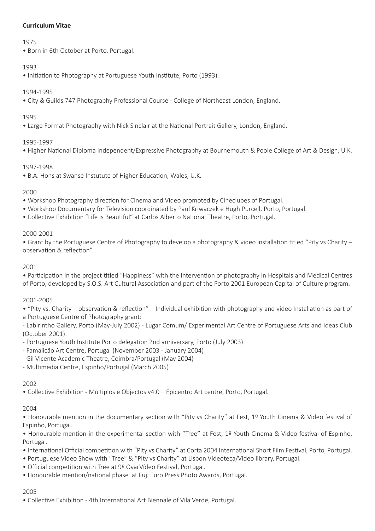## **Curriculum Vitae**

## 1975

• Born in 6th October at Porto, Portugal.

# 1993

• Initiation to Photography at Portuguese Youth Institute, Porto (1993).

# 1994-1995

• City & Guilds 747 Photography Professional Course - College of Northeast London, England.

# 1995

• Large Format Photography with Nick Sinclair at the National Portrait Gallery, London, England.

# 1995-1997

• Higher National Diploma Independent/Expressive Photography at Bournemouth & Poole College of Art & Design, U.K.

# 1997-1998

• B.A. Hons at Swanse Instutute of Higher Education, Wales, U.K.

# 2000

- Workshop Photography direction for Cinema and Video promoted by Cineclubes of Portugal.
- Workshop Documentary for Television coordinated by Paul Kriwaczek e Hugh Purcell, Porto, Portugal.
- Collective Exhibition "Life is Beautiful" at Carlos Alberto National Theatre, Porto, Portugal.

## 2000-2001

• Grant by the Portuguese Centre of Photography to develop a photography & video installation titled "Pity vs Charity – observation & reflection".

## 2001

• Participation in the project titled "Happiness" with the intervention of photography in Hospitals and Medical Centres of Porto, developed by S.O.S. Art Cultural Association and part of the Porto 2001 European Capital of Culture program.

## 2001-2005

• "Pity vs. Charity – observation & reflection" – Individual exhibition with photography and video Installation as part of a Portuguese Centre of Photography grant:

- Labirintho Gallery, Porto (May-July 2002) - Lugar Comum/ Experimental Art Centre of Portuguese Arts and Ideas Club (October 2001).

- Portuguese Youth Institute Porto delegation 2nd anniversary, Porto (July 2003)
- Famalicão Art Centre, Portugal (November 2003 January 2004)
- Gil Vicente Academic Theatre, Coimbra/Portugal (May 2004)
- Multimedia Centre, Espinho/Portugal (March 2005)

## 2002

• Collective Exhibition - Múltiplos e Objectos v4.0 – Epicentro Art centre, Porto, Portugal.

# 2004

• Honourable mention in the documentary section with "Pity vs Charity" at Fest, 1º Youth Cinema & Video festival of Espinho, Portugal.

• Honourable mention in the experimental section with "Tree" at Fest, 1º Youth Cinema & Video festival of Espinho, Portugal.

- International Official competition with "Pity vs Charity" at Corta 2004 International Short Film Festival, Porto, Portugal.
- Portuguese Video Show with "Tree" & "Pity vs Charity" at Lisbon Videoteca/Video library, Portugal.
- Official competition with Tree at 9º OvarVídeo Festival, Portugal.
- Honourable mention/national phase at Fuji Euro Press Photo Awards, Portugal.

# 2005

• Collective Exhibition - 4th International Art Biennale of Vila Verde, Portugal.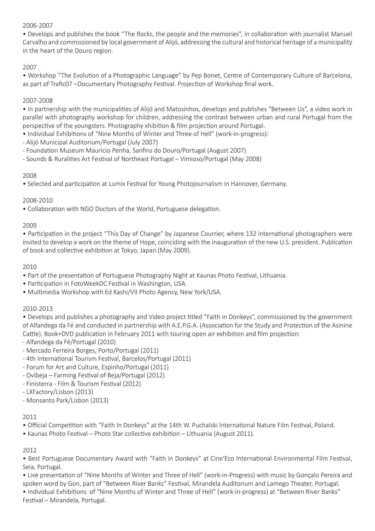## 2006-2007

• Develops and publishes the book "The Rocks, the people and the memories", in collaboration with journalist Manuel Carvalho and commissioned by local government of Alijó, addressing the cultural and historical heritage of a municipality in the heart of the Douro region.

## 2007

• Workshop "The Evolution of a Photographic Language" by Pep Bonet, Centre of Contemporary Culture of Barcelona, as part of Trafic07 –Documentary Photography Festival. Projection of Workshop final work.

### 2007-2008

• In partnership with the municipalities of Alijó and Matosinhos, develops and publishes "Between Us", a video work in parallel with photography workshop for children, addressing the contrast between urban and rural Portugal from the perspective of the youngsters. Photography xhibition & film projection around Portugal.

- Individual Exhibitions of "Nine Months of Winter and Three of Hell" (work-in-progress):
- Alijó Municipal Auditorium/Portugal (July 2007)
- Foundation Museum Maurício Penha, Sanfins do Douro/Portugal (August 2007)
- Sounds & Ruralities Art Festival of Northeast Portugal Vimioso/Portugal (May 2008)

### 2008

• Selected and participation at Lumix Festival for Young Photojournalism in Hannover, Germany.

### 2008-2010

• Collaboration with NGO Doctors of the World, Portuguese delegation.

### 2009

• Participation in the project "This Day of Change" by Japanese Courrier, where 132 international photographers were invited to develop a work on the theme of Hope, coinciding with the inauguration of the new U.S. president. Publication of book and collective exhibition at Tokyo, Japan.(May 2009).

### 2010

- Part of the presentation of Portuguese Photography Night at Kaunas Photo Festival, Lithuania.
- Participation in FotoWeekDC Festival in Washington, USA.
- Multimedia Workshop with Ed Kashi/VII Photo Agency, New York/USA.

### 2010-2013

• Develops and publishes a photography and Video project titled "Faith in Donkeys", commissioned by the government of Alfandega da Fé and conducted in partnership with A.E.P.G.A. (Association for the Study and Protection of the Asinine Cattle). Book+DVD publication in February 2011 with touring open air exhibition and film projection:

- Alfandega da Fé/Portugal (2010)

- Mercado Ferreira Borges, Porto/Portugal (2011)
- 4th International Tourism Festival, Barcelos/Portugal (2011)
- Forum for Art and Culture, Espinho/Portugal (2011)
- Ovibeja Farming Festival of Beja/Portugal (2012)
- Finisterra Film & Tourism Festival (2012)
- LXFactory/Lisbon (2013)
- Monsanto Park/Lisbon (2013)

### 2011

- Official Competition with "Faith In Donkeys" at the 14th W. Puchalski International Nature Film Festival, Poland.
- Kaunas Photo Festival Photo Star collective exhibition Lithuania (August 2011).

### 2012

• Best Portuguese Documentary Award with "Faith in Donkeys" at Cine'Eco International Environmental Film Festival, Seia, Portugal.

• Live presentation of "Nine Months of Winter and Three of Hell" (work-in-Progress) with music by Gonçalo Pereira and spoken word by Gon, part of "Between River Banks" Festival, Mirandela Auditorium and Lamego Theater, Portugal.

• Individual Exhibitions of "Nine Months of Winter and Three of Hell" (work-in-progress) at "Between River Banks" Festival – Mirandela, Portugal.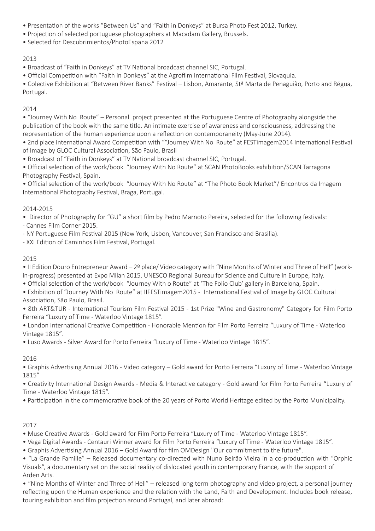- Presentation of the works "Between Us" and "Faith in Donkeys" at Bursa Photo Fest 2012, Turkey.
- Projection of selected portuguese photographers at Macadam Gallery, Brussels.
- Selected for Descubrimientos/PhotoEspana 2012

### 2013

- Broadcast of "Faith in Donkeys" at TV National broadcast channel SIC, Portugal.
- Official Competition with "Faith in Donkeys" at the Agrofilm International Film Festival, Slovaquia.

• Colective Exhibition at "Between River Banks" Festival – Lisbon, Amarante, Stª Marta de Penaguião, Porto and Régua, Portugal.

## 2014

• "Journey With No Route" – Personal project presented at the Portuguese Centre of Photography alongside the publication of the book with the same title. An intimate exercise of awareness and consciousness, addressing the representation of the human experience upon a reflection on contemporaneity (May-June 2014).

- 2nd place International Award Competition with ""Journey With No Route" at FESTimagem2014 International Festival of Image by GLOC Cultural Association, São Paulo, Brasil
- Broadcast of "Faith in Donkeys" at TV National broadcast channel SIC, Portugal.
- Official selection of the work/book "Journey With No Route" at SCAN PhotoBooks exhibition/SCAN Tarragona Photography Festival, Spain.

• Official selection of the work/book "Journey With No Route" at "The Photo Book Market"/ Encontros da Imagem International Photography Festival, Braga, Portugal.

## 2014-2015

• Director of Photography for "GU" a short film by Pedro Marnoto Pereira, selected for the following festivals:

- Cannes Film Corner 2015.

- NY Portuguese Film Festival 2015 (New York, Lisbon, Vancouver, San Francisco and Brasilia).

- XXI Edition of Caminhos Film Festival, Portugal.

## 2015

• II Edition Douro Entrepreneur Award – 2º place/ Video category with "Nine Months of Winter and Three of Hell" (workin-progress) presented at Expo Milan 2015, UNESCO Regional Bureau for Science and Culture in Europe, Italy.

• Official selection of the work/book "Journey With o Route" at 'The Folio Club' gallery in Barcelona, Spain.

• Exhibition of "Journey With No Route" at IIFESTimagem2015 - International Festival of Image by GLOC Cultural Association, São Paulo, Brasil.

• 8th ART&TUR - International Tourism Film Festival 2015 - 1st Prize "Wine and Gastronomy" Category for Film Porto Ferreira "Luxury of Time - Waterloo Vintage 1815".

• London International Creative Competition - Honorable Mention for Film Porto Ferreira "Luxury of Time - Waterloo Vintage 1815".

• Luso Awards - Silver Award for Porto Ferreira "Luxury of Time - Waterloo Vintage 1815".

## 2016

• Graphis Advertising Annual 2016 - Video category – Gold award for Porto Ferreira "Luxury of Time - Waterloo Vintage 1815"

• Creativity International Design Awards - Media & Interactive category - Gold award for Film Porto Ferreira "Luxury of Time - Waterloo Vintage 1815".

• Participation in the commemorative book of the 20 years of Porto World Heritage edited by the Porto Municipality.

## 2017

- Muse Creative Awards Gold award for Film Porto Ferreira "Luxury of Time Waterloo Vintage 1815".
- Vega Digital Awards Centauri Winner award for Film Porto Ferreira "Luxury of Time Waterloo Vintage 1815".
- Graphis Advertising Annual 2016 Gold Award for film OMDesign "Our commitment to the future".

• "La Grande Famille" – Released documentary co-directed with Nuno Beirão Vieira in a co-production with "Orphic Visuals", a documentary set on the social reality of dislocated youth in contemporary France, with the support of Arden Arts.

• "Nine Months of Winter and Three of Hell" – released long term photography and video project, a personal journey reflecting upon the Human experience and the relation with the Land, Faith and Development. Includes book release, touring exhibition and film projection around Portugal, and later abroad: